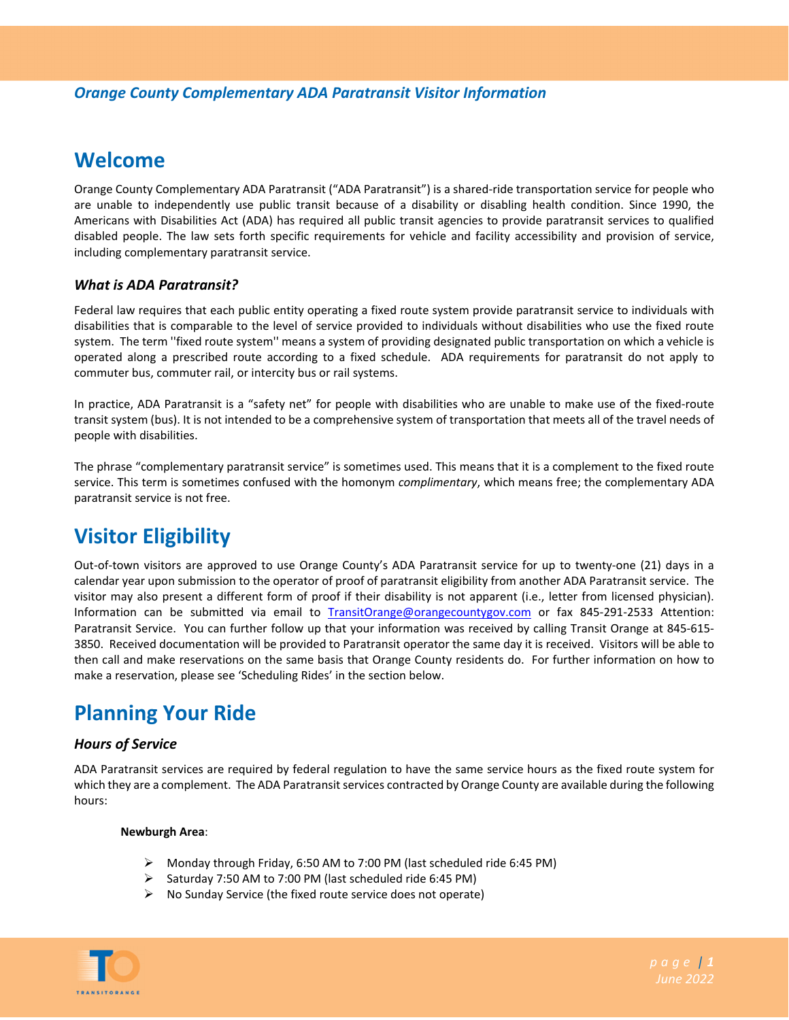## **Welcome**

Orange County Complementary ADA Paratransit ("ADA Paratransit") is a shared‐ride transportation service for people who are unable to independently use public transit because of a disability or disabling health condition. Since 1990, the Americans with Disabilities Act (ADA) has required all public transit agencies to provide paratransit services to qualified disabled people. The law sets forth specific requirements for vehicle and facility accessibility and provision of service, including complementary paratransit service.

## *What is ADA Paratransit?*

Federal law requires that each public entity operating a fixed route system provide paratransit service to individuals with disabilities that is comparable to the level of service provided to individuals without disabilities who use the fixed route system. The term ''fixed route system'' means a system of providing designated public transportation on which a vehicle is operated along a prescribed route according to a fixed schedule. ADA requirements for paratransit do not apply to commuter bus, commuter rail, or intercity bus or rail systems.

In practice, ADA Paratransit is a "safety net" for people with disabilities who are unable to make use of the fixed‐route transit system (bus). It is not intended to be a comprehensive system of transportation that meets all of the travel needs of people with disabilities.

The phrase "complementary paratransit service" is sometimes used. This means that it is a complement to the fixed route service. This term is sometimes confused with the homonym *complimentary*, which means free; the complementary ADA paratransit service is not free.

# **Visitor Eligibility**

Out-of-town visitors are approved to use Orange County's ADA Paratransit service for up to twenty-one (21) days in a calendar year upon submission to the operator of proof of paratransit eligibility from another ADA Paratransit service. The visitor may also present a different form of proof if their disability is not apparent (i.e., letter from licensed physician). Information can be submitted via email to TransitOrange@orangecountygov.com or fax 845-291-2533 Attention: Paratransit Service. You can further follow up that your information was received by calling Transit Orange at 845‐615‐ 3850. Received documentation will be provided to Paratransit operator the same day it is received. Visitors will be able to then call and make reservations on the same basis that Orange County residents do. For further information on how to make a reservation, please see 'Scheduling Rides' in the section below.

# **Planning Your Ride**

### *Hours of Service*

ADA Paratransit services are required by federal regulation to have the same service hours as the fixed route system for which they are a complement. The ADA Paratransit services contracted by Orange County are available during the following hours:

### **Newburgh Area**:

- Monday through Friday, 6:50 AM to 7:00 PM (last scheduled ride 6:45 PM)
- $\triangleright$  Saturday 7:50 AM to 7:00 PM (last scheduled ride 6:45 PM)
- $\triangleright$  No Sunday Service (the fixed route service does not operate)